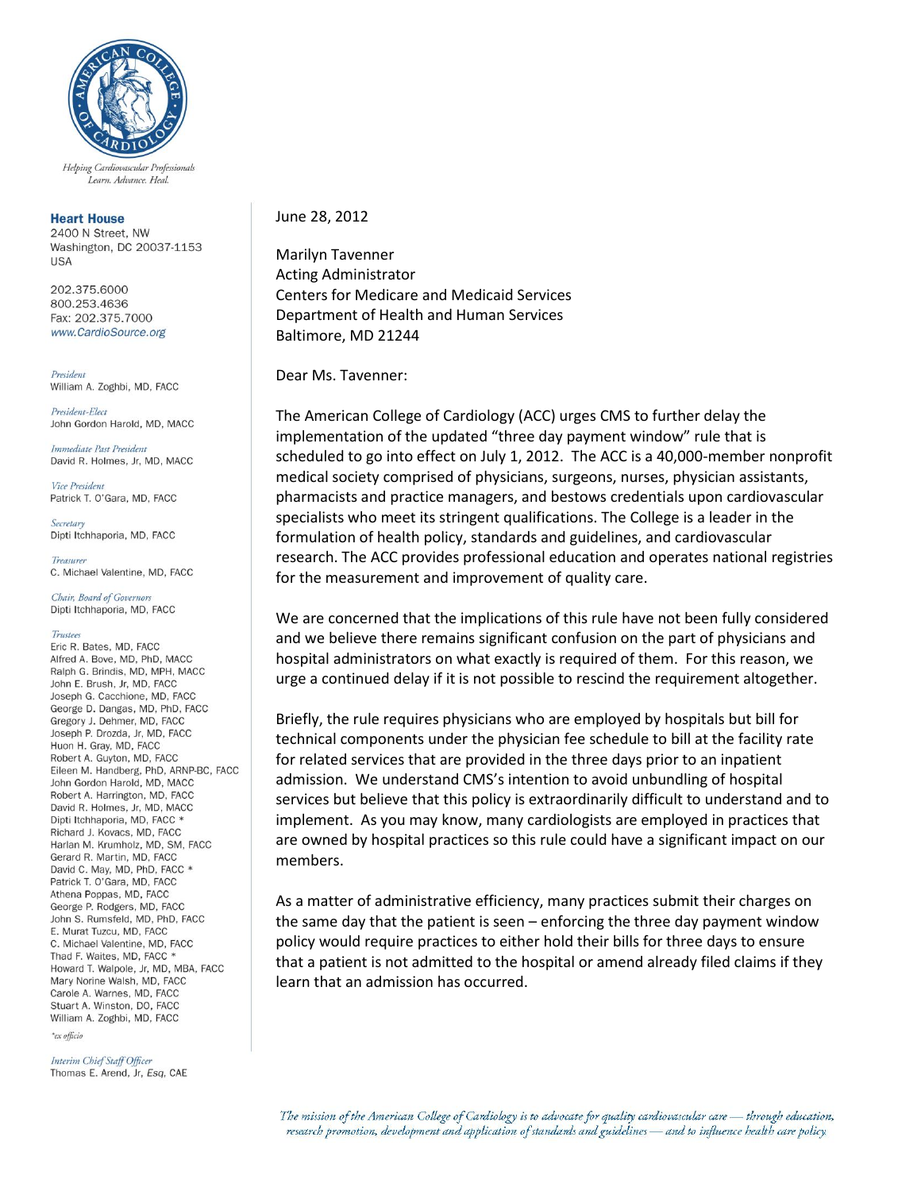

Helping Cardiovascular Professionals Learn. Advance. Heal.

## **Heart House**

2400 N Street, NW Washington, DC 20037-1153 **USA** 

202.375.6000 800 253 4636 Fax: 202.375.7000 www.CardioSource.org

President William A. Zoghbi, MD, FACC

President-Elect John Gordon Harold, MD, MACC

Immediate Past President David R. Holmes, Jr, MD, MACC

Vice President Patrick T. O'Gara, MD, FACC

Secretary Dipti Itchhaporia, MD, FACC

Treasurer C. Michael Valentine, MD, FACC

Chair, Board of Governors Dipti Itchhaporia, MD, FACC

## Trustees

Eric R. Bates, MD, FACC Alfred A. Bove, MD, PhD, MACC Ralph G. Brindis, MD, MPH, MACC John E. Brush, Jr, MD, FACC Joseph G. Cacchione, MD. FACC George D. Dangas, MD, PhD, FACC Gregory J. Dehmer, MD, FACC Joseph P. Drozda, Jr, MD, FACC Huon H. Gray, MD, FACC Robert A. Guyton, MD, FACC Eileen M. Handberg, PhD, ARNP-BC, FACC John Gordon Harold, MD, MACC Robert A. Harrington, MD, FACC David R. Holmes, Jr. MD, MACC Dipti Itchhaporia, MD, FACC \* Richard J. Kovacs, MD, FACC Harlan M. Krumholz, MD, SM, FACC Gerard R. Martin, MD, FACC David C. May, MD, PhD, FACC \* Patrick T. O'Gara, MD, FACC Athena Poppas, MD, FACC George P. Rodgers, MD. FACC John S. Rumsfeld, MD, PhD, FACC E. Murat Tuzcu, MD. FACC C. Michael Valentine, MD, FACC Thad F. Waites, MD, FACC \* Howard T. Walpole, Jr, MD, MBA, FACC Mary Norine Walsh, MD, FACC Carole A. Warnes, MD, FACC Stuart A. Winston, DO, FACC William A. Zoghbi, MD, FACC

 $^\ast$ ex officio

Interim Chief Staff Officer Thomas E. Arend, Jr, Esq, CAE

## June 28, 2012

Marilyn Tavenner Acting Administrator Centers for Medicare and Medicaid Services Department of Health and Human Services Baltimore, MD 21244

Dear Ms. Tavenner:

The American College of Cardiology (ACC) urges CMS to further delay the implementation of the updated "three day payment window" rule that is scheduled to go into effect on July 1, 2012. The ACC is a 40,000-member nonprofit medical society comprised of physicians, surgeons, nurses, physician assistants, pharmacists and practice managers, and bestows credentials upon cardiovascular specialists who meet its stringent qualifications. The College is a leader in the formulation of health policy, standards and guidelines, and cardiovascular research. The ACC provides professional education and operates national registries for the measurement and improvement of quality care.

We are concerned that the implications of this rule have not been fully considered and we believe there remains significant confusion on the part of physicians and hospital administrators on what exactly is required of them. For this reason, we urge a continued delay if it is not possible to rescind the requirement altogether.

Briefly, the rule requires physicians who are employed by hospitals but bill for technical components under the physician fee schedule to bill at the facility rate for related services that are provided in the three days prior to an inpatient admission. We understand CMS's intention to avoid unbundling of hospital services but believe that this policy is extraordinarily difficult to understand and to implement. As you may know, many cardiologists are employed in practices that are owned by hospital practices so this rule could have a significant impact on our members.

As a matter of administrative efficiency, many practices submit their charges on the same day that the patient is seen – enforcing the three day payment window policy would require practices to either hold their bills for three days to ensure that a patient is not admitted to the hospital or amend already filed claims if they learn that an admission has occurred.